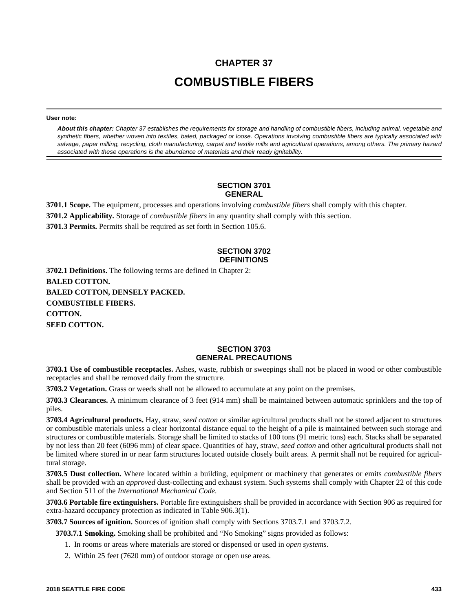# **CHAPTER 37 COMBUSTIBLE FIBERS**

**User note:**

*About this chapter: Chapter 37 establishes the requirements for storage and handling of combustible fibers, including animal, vegetable and synthetic fibers, whether woven into textiles, baled, packaged or loose. Operations involving combustible fibers are typically associated with salvage, paper milling, recycling, cloth manufacturing, carpet and textile mills and agricultural operations, among others. The primary hazard associated with these operations is the abundance of materials and their ready ignitability.*

#### **SECTION 3701 GENERAL**

**3701.1 Scope.** The equipment, processes and operations involving *combustible fibers* shall comply with this chapter.

**3701.2 Applicability.** Storage of *combustible fibers* in any quantity shall comply with this section.

**3701.3 Permits.** Permits shall be required as set forth in Section 105.6.

## **SECTION 3702 DEFINITIONS**

**3702.1 Definitions.** The following terms are defined in Chapter 2: **BALED COTTON. BALED COTTON, DENSELY PACKED. COMBUSTIBLE FIBERS. COTTON. SEED COTTON.**

#### **SECTION 3703 GENERAL PRECAUTIONS**

**3703.1 Use of combustible receptacles.** Ashes, waste, rubbish or sweepings shall not be placed in wood or other combustible receptacles and shall be removed daily from the structure.

**3703.2 Vegetation.** Grass or weeds shall not be allowed to accumulate at any point on the premises.

**3703.3 Clearances.** A minimum clearance of 3 feet (914 mm) shall be maintained between automatic sprinklers and the top of piles.

**3703.4 Agricultural products.** Hay, straw, *seed cotton* or similar agricultural products shall not be stored adjacent to structures or combustible materials unless a clear horizontal distance equal to the height of a pile is maintained between such storage and structures or combustible materials. Storage shall be limited to stacks of 100 tons (91 metric tons) each. Stacks shall be separated by not less than 20 feet (6096 mm) of clear space. Quantities of hay, straw, *seed cotton* and other agricultural products shall not be limited where stored in or near farm structures located outside closely built areas. A permit shall not be required for agricultural storage.

**3703.5 Dust collection.** Where located within a building, equipment or machinery that generates or emits *combustible fibers* shall be provided with an *approved* dust-collecting and exhaust system. Such systems shall comply with Chapter 22 of this code and Section 511 of the *International Mechanical Code.*

**3703.6 Portable fire extinguishers.** Portable fire extinguishers shall be provided in accordance with Section 906 as required for extra-hazard occupancy protection as indicated in Table 906.3(1).

**3703.7 Sources of ignition.** Sources of ignition shall comply with Sections 3703.7.1 and 3703.7.2.

**3703.7.1 Smoking.** Smoking shall be prohibited and "No Smoking" signs provided as follows:

- 1. In rooms or areas where materials are stored or dispensed or used in *open systems*.
- 2. Within 25 feet (7620 mm) of outdoor storage or open use areas.